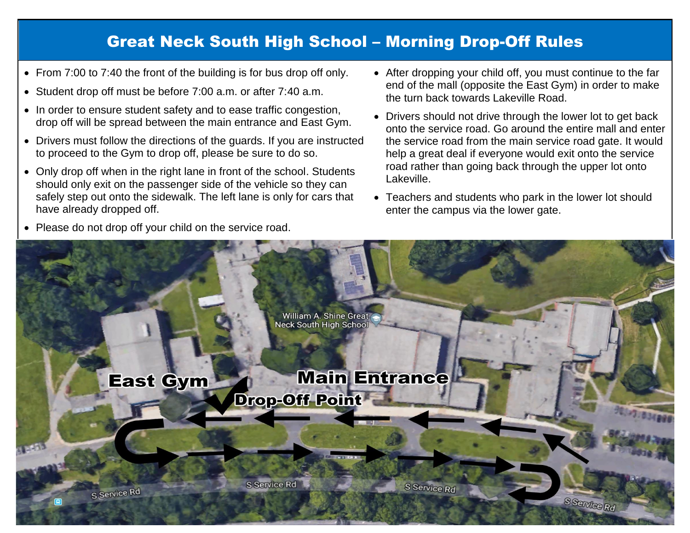## Great Neck South High School – Morning Drop-Off Rules

- From 7:00 to 7:40 the front of the building is for bus drop off only.
- Student drop off must be before 7:00 a.m. or after 7:40 a.m.
- In order to ensure student safety and to ease traffic congestion, drop off will be spread between the main entrance and East Gym.
- Drivers must follow the directions of the guards. If you are instructed to proceed to the Gym to drop off, please be sure to do so.
- Only drop off when in the right lane in front of the school. Students should only exit on the passenger side of the vehicle so they can safely step out onto the sidewalk. The left lane is only for cars that have already dropped off.
- After dropping your child off, you must continue to the far end of the mall (opposite the East Gym) in order to make the turn back towards Lakeville Road.
- Drivers should not drive through the lower lot to get back onto the service road. Go around the entire mall and enter the service road from the main service road gate. It would help a great deal if everyone would exit onto the service road rather than going back through the upper lot onto Lakeville.
- Teachers and students who park in the lower lot should enter the campus via the lower gate.

• Please do not drop off your child on the service road.